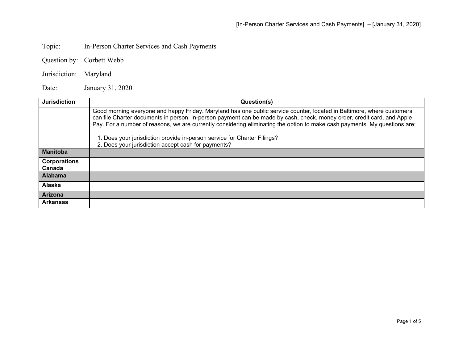Topic: In-Person Charter Services and Cash Payments

Question by: Corbett Webb

Jurisdiction: Maryland

Date: January 31, 2020

| <b>Jurisdiction</b>           | Question(s)                                                                                                                                                                                                                                                                                                                                                                     |
|-------------------------------|---------------------------------------------------------------------------------------------------------------------------------------------------------------------------------------------------------------------------------------------------------------------------------------------------------------------------------------------------------------------------------|
|                               | Good morning everyone and happy Friday. Maryland has one public service counter, located in Baltimore, where customers<br>can file Charter documents in person. In-person payment can be made by cash, check, money order, credit card, and Apple<br>Pay. For a number of reasons, we are currently considering eliminating the option to make cash payments. My questions are: |
|                               | 1. Does your jurisdiction provide in-person service for Charter Filings?<br>2. Does your jurisdiction accept cash for payments?                                                                                                                                                                                                                                                 |
| <b>Manitoba</b>               |                                                                                                                                                                                                                                                                                                                                                                                 |
| <b>Corporations</b><br>Canada |                                                                                                                                                                                                                                                                                                                                                                                 |
| Alabama                       |                                                                                                                                                                                                                                                                                                                                                                                 |
| Alaska                        |                                                                                                                                                                                                                                                                                                                                                                                 |
| <b>Arizona</b>                |                                                                                                                                                                                                                                                                                                                                                                                 |
| <b>Arkansas</b>               |                                                                                                                                                                                                                                                                                                                                                                                 |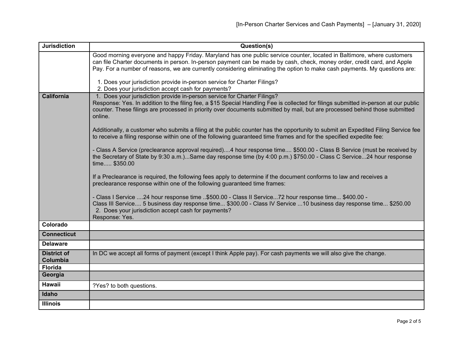| <b>Jurisdiction</b>            | Question(s)                                                                                                                                                                                                                                                                                                                                                                     |
|--------------------------------|---------------------------------------------------------------------------------------------------------------------------------------------------------------------------------------------------------------------------------------------------------------------------------------------------------------------------------------------------------------------------------|
|                                | Good morning everyone and happy Friday. Maryland has one public service counter, located in Baltimore, where customers<br>can file Charter documents in person. In-person payment can be made by cash, check, money order, credit card, and Apple<br>Pay. For a number of reasons, we are currently considering eliminating the option to make cash payments. My questions are: |
|                                | 1. Does your jurisdiction provide in-person service for Charter Filings?<br>2. Does your jurisdiction accept cash for payments?                                                                                                                                                                                                                                                 |
| <b>California</b>              | 1. Does your jurisdiction provide in-person service for Charter Filings?<br>Response: Yes. In addition to the filing fee, a \$15 Special Handling Fee is collected for filings submitted in-person at our public<br>counter. These filings are processed in priority over documents submitted by mail, but are processed behind those submitted<br>online.                      |
|                                | Additionally, a customer who submits a filing at the public counter has the opportunity to submit an Expedited Filing Service fee<br>to receive a filing response within one of the following guaranteed time frames and for the specified expedite fee:                                                                                                                        |
|                                | - Class A Service (preclearance approval required)4 hour response time \$500.00 - Class B Service (must be received by<br>the Secretary of State by 9:30 a.m.)Same day response time (by 4:00 p.m.) \$750.00 - Class C Service24 hour response<br>time \$350.00                                                                                                                 |
|                                | If a Preclearance is required, the following fees apply to determine if the document conforms to law and receives a<br>preclearance response within one of the following guaranteed time frames:                                                                                                                                                                                |
|                                | - Class I Service 24 hour response time \$500.00 - Class II Service72 hour response time \$400.00 -<br>Class III Service 5 business day response time \$300.00 - Class IV Service 10 business day response time \$250.00<br>2. Does your jurisdiction accept cash for payments?<br>Response: Yes.                                                                               |
| Colorado                       |                                                                                                                                                                                                                                                                                                                                                                                 |
| <b>Connecticut</b>             |                                                                                                                                                                                                                                                                                                                                                                                 |
| <b>Delaware</b>                |                                                                                                                                                                                                                                                                                                                                                                                 |
| <b>District of</b><br>Columbia | In DC we accept all forms of payment (except I think Apple pay). For cash payments we will also give the change.                                                                                                                                                                                                                                                                |
| <b>Florida</b>                 |                                                                                                                                                                                                                                                                                                                                                                                 |
| Georgia                        |                                                                                                                                                                                                                                                                                                                                                                                 |
| <b>Hawaii</b>                  | ?Yes? to both questions.                                                                                                                                                                                                                                                                                                                                                        |
| Idaho                          |                                                                                                                                                                                                                                                                                                                                                                                 |
| <b>Illinois</b>                |                                                                                                                                                                                                                                                                                                                                                                                 |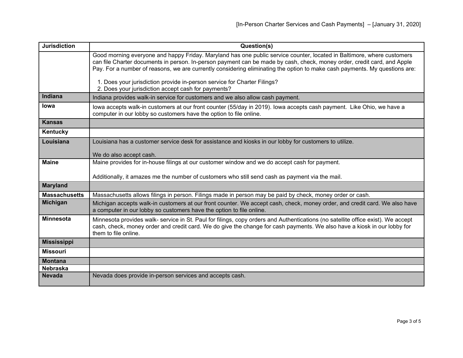| <b>Jurisdiction</b>  | Question(s)                                                                                                                                                                                                                                                                                                                                                                     |
|----------------------|---------------------------------------------------------------------------------------------------------------------------------------------------------------------------------------------------------------------------------------------------------------------------------------------------------------------------------------------------------------------------------|
|                      | Good morning everyone and happy Friday. Maryland has one public service counter, located in Baltimore, where customers<br>can file Charter documents in person. In-person payment can be made by cash, check, money order, credit card, and Apple<br>Pay. For a number of reasons, we are currently considering eliminating the option to make cash payments. My questions are: |
|                      | 1. Does your jurisdiction provide in-person service for Charter Filings?<br>2. Does your jurisdiction accept cash for payments?                                                                                                                                                                                                                                                 |
| Indiana              | Indiana provides walk-in service for customers and we also allow cash payment.                                                                                                                                                                                                                                                                                                  |
| lowa                 | lowa accepts walk-in customers at our front counter (55/day in 2019). Iowa accepts cash payment. Like Ohio, we have a<br>computer in our lobby so customers have the option to file online.                                                                                                                                                                                     |
| <b>Kansas</b>        |                                                                                                                                                                                                                                                                                                                                                                                 |
| Kentucky             |                                                                                                                                                                                                                                                                                                                                                                                 |
| Louisiana            | Louisiana has a customer service desk for assistance and kiosks in our lobby for customers to utilize.                                                                                                                                                                                                                                                                          |
|                      | We do also accept cash.                                                                                                                                                                                                                                                                                                                                                         |
| <b>Maine</b>         | Maine provides for in-house filings at our customer window and we do accept cash for payment.                                                                                                                                                                                                                                                                                   |
|                      | Additionally, it amazes me the number of customers who still send cash as payment via the mail.                                                                                                                                                                                                                                                                                 |
| <b>Maryland</b>      |                                                                                                                                                                                                                                                                                                                                                                                 |
| <b>Massachusetts</b> | Massachusetts allows filings in person. Filings made in person may be paid by check, money order or cash.                                                                                                                                                                                                                                                                       |
| <b>Michigan</b>      | Michigan accepts walk-in customers at our front counter. We accept cash, check, money order, and credit card. We also have<br>a computer in our lobby so customers have the option to file online.                                                                                                                                                                              |
| <b>Minnesota</b>     | Minnesota provides walk- service in St. Paul for filings, copy orders and Authentications (no satellite office exist). We accept<br>cash, check, money order and credit card. We do give the change for cash payments. We also have a kiosk in our lobby for<br>them to file online.                                                                                            |
| <b>Mississippi</b>   |                                                                                                                                                                                                                                                                                                                                                                                 |
| <b>Missouri</b>      |                                                                                                                                                                                                                                                                                                                                                                                 |
| <b>Montana</b>       |                                                                                                                                                                                                                                                                                                                                                                                 |
| <b>Nebraska</b>      |                                                                                                                                                                                                                                                                                                                                                                                 |
| <b>Nevada</b>        | Nevada does provide in-person services and accepts cash.                                                                                                                                                                                                                                                                                                                        |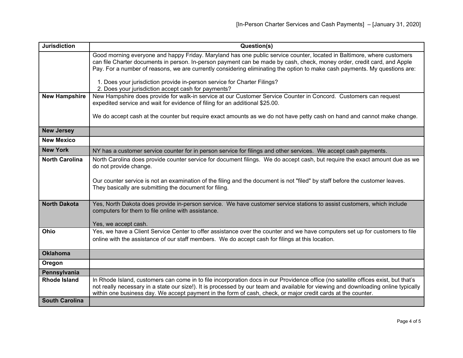| <b>Jurisdiction</b>   | Question(s)                                                                                                                                                                                                                                                                                                                                                                              |
|-----------------------|------------------------------------------------------------------------------------------------------------------------------------------------------------------------------------------------------------------------------------------------------------------------------------------------------------------------------------------------------------------------------------------|
|                       | Good morning everyone and happy Friday. Maryland has one public service counter, located in Baltimore, where customers<br>can file Charter documents in person. In-person payment can be made by cash, check, money order, credit card, and Apple<br>Pay. For a number of reasons, we are currently considering eliminating the option to make cash payments. My questions are:          |
|                       |                                                                                                                                                                                                                                                                                                                                                                                          |
|                       | 1. Does your jurisdiction provide in-person service for Charter Filings?<br>2. Does your jurisdiction accept cash for payments?                                                                                                                                                                                                                                                          |
| <b>New Hampshire</b>  | New Hampshire does provide for walk-in service at our Customer Service Counter in Concord. Customers can request                                                                                                                                                                                                                                                                         |
|                       | expedited service and wait for evidence of filing for an additional \$25.00.                                                                                                                                                                                                                                                                                                             |
|                       | We do accept cash at the counter but require exact amounts as we do not have petty cash on hand and cannot make change.                                                                                                                                                                                                                                                                  |
| <b>New Jersey</b>     |                                                                                                                                                                                                                                                                                                                                                                                          |
| <b>New Mexico</b>     |                                                                                                                                                                                                                                                                                                                                                                                          |
| <b>New York</b>       | NY has a customer service counter for in person service for filings and other services. We accept cash payments.                                                                                                                                                                                                                                                                         |
| <b>North Carolina</b> | North Carolina does provide counter service for document filings. We do accept cash, but require the exact amount due as we<br>do not provide change.                                                                                                                                                                                                                                    |
|                       | Our counter service is not an examination of the filing and the document is not "filed" by staff before the customer leaves.<br>They basically are submitting the document for filing.                                                                                                                                                                                                   |
| <b>North Dakota</b>   | Yes, North Dakota does provide in-person service. We have customer service stations to assist customers, which include<br>computers for them to file online with assistance.                                                                                                                                                                                                             |
|                       | Yes, we accept cash.                                                                                                                                                                                                                                                                                                                                                                     |
| Ohio                  | Yes, we have a Client Service Center to offer assistance over the counter and we have computers set up for customers to file<br>online with the assistance of our staff members. We do accept cash for filings at this location.                                                                                                                                                         |
| <b>Oklahoma</b>       |                                                                                                                                                                                                                                                                                                                                                                                          |
| Oregon                |                                                                                                                                                                                                                                                                                                                                                                                          |
| Pennsylvania          |                                                                                                                                                                                                                                                                                                                                                                                          |
| <b>Rhode Island</b>   | In Rhode Island, customers can come in to file incorporation docs in our Providence office (no satellite offices exist, but that's<br>not really necessary in a state our size!). It is processed by our team and available for viewing and downloading online typically<br>within one business day. We accept payment in the form of cash, check, or major credit cards at the counter. |
| <b>South Carolina</b> |                                                                                                                                                                                                                                                                                                                                                                                          |